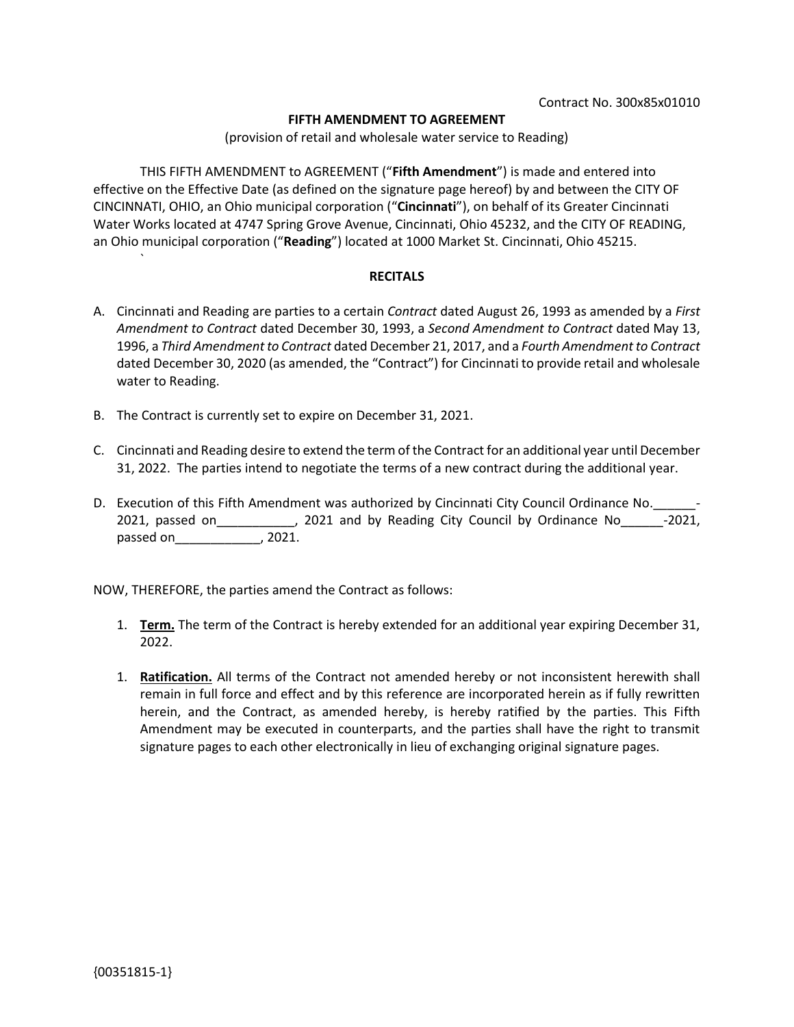### **FIFTH AMENDMENT TO AGREEMENT**

(provision of retail and wholesale water service to Reading)

THIS FIFTH AMENDMENT to AGREEMENT ("**Fifth Amendment**") is made and entered into effective on the Effective Date (as defined on the signature page hereof) by and between the CITY OF CINCINNATI, OHIO, an Ohio municipal corporation ("**Cincinnati**"), on behalf of its Greater Cincinnati Water Works located at 4747 Spring Grove Avenue, Cincinnati, Ohio 45232, and the CITY OF READING, an Ohio municipal corporation ("**Reading**") located at 1000 Market St. Cincinnati, Ohio 45215.

#### **RECITALS**

- A. Cincinnati and Reading are parties to a certain *Contract* dated August 26, 1993 as amended by a *First Amendment to Contract* dated December 30, 1993, a *Second Amendment to Contract* dated May 13, 1996, a *Third Amendment to Contract* dated December 21, 2017, and a *Fourth Amendment to Contract*  dated December 30, 2020 (as amended, the "Contract") for Cincinnati to provide retail and wholesale water to Reading.
- B. The Contract is currently set to expire on December 31, 2021.
- C. Cincinnati and Reading desire to extend the term of the Contract for an additional year until December 31, 2022. The parties intend to negotiate the terms of a new contract during the additional year.
- D. Execution of this Fifth Amendment was authorized by Cincinnati City Council Ordinance No. 2021, passed on\_\_\_\_\_\_\_\_\_\_\_, 2021 and by Reading City Council by Ordinance No\_\_\_\_\_\_-2021, passed on\_\_\_\_\_\_\_\_\_\_\_\_, 2021.

NOW, THEREFORE, the parties amend the Contract as follows:

- 1. **Term.** The term of the Contract is hereby extended for an additional year expiring December 31, 2022.
- 1. **Ratification.** All terms of the Contract not amended hereby or not inconsistent herewith shall remain in full force and effect and by this reference are incorporated herein as if fully rewritten herein, and the Contract, as amended hereby, is hereby ratified by the parties. This Fifth Amendment may be executed in counterparts, and the parties shall have the right to transmit signature pages to each other electronically in lieu of exchanging original signature pages.

`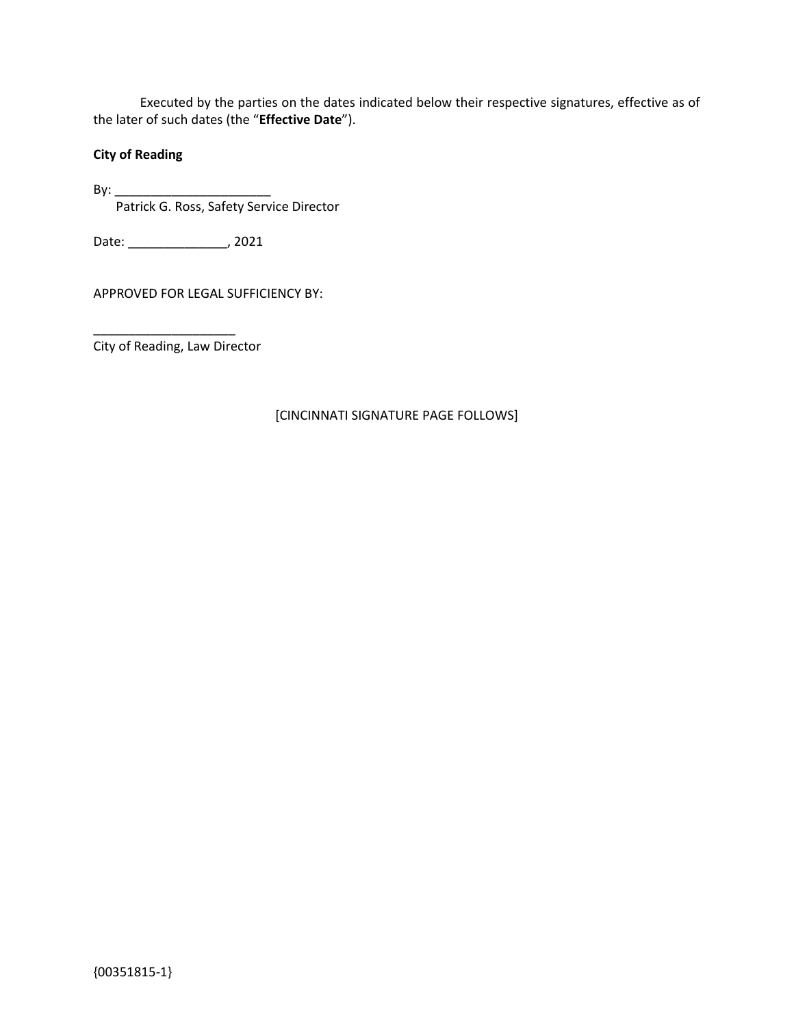Executed by the parties on the dates indicated below their respective signatures, effective as of the later of such dates (the "**Effective Date**").

# **City of Reading**

By: \_\_\_\_\_\_\_\_\_\_\_\_\_\_\_\_\_\_\_\_\_\_ Patrick G. Ross, Safety Service Director

Date: \_\_\_\_\_\_\_\_\_\_\_\_\_\_, 2021

APPROVED FOR LEGAL SUFFICIENCY BY:

City of Reading, Law Director

\_\_\_\_\_\_\_\_\_\_\_\_\_\_\_\_\_\_\_\_

## [CINCINNATI SIGNATURE PAGE FOLLOWS]